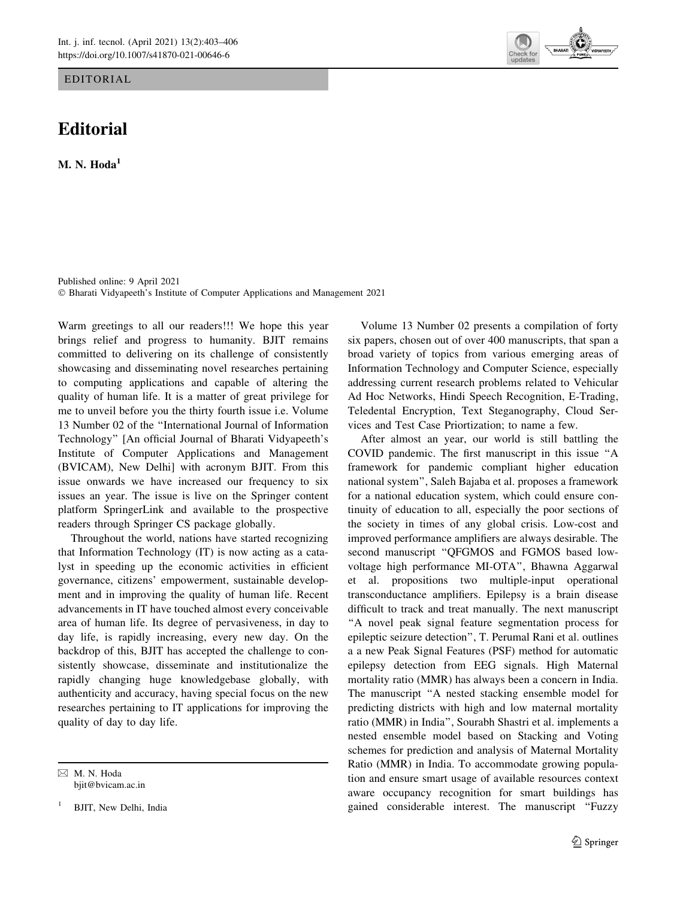## EDITORIAL

## Editorial

M. N.  $Hoda<sup>1</sup>$ 

Published online: 9 April 2021 - Bharati Vidyapeeth's Institute of Computer Applications and Management 2021

Warm greetings to all our readers!!! We hope this year brings relief and progress to humanity. BJIT remains committed to delivering on its challenge of consistently showcasing and disseminating novel researches pertaining to computing applications and capable of altering the quality of human life. It is a matter of great privilege for me to unveil before you the thirty fourth issue i.e. Volume 13 Number 02 of the ''International Journal of Information Technology'' [An official Journal of Bharati Vidyapeeth's Institute of Computer Applications and Management (BVICAM), New Delhi] with acronym BJIT. From this issue onwards we have increased our frequency to six issues an year. The issue is live on the Springer content platform SpringerLink and available to the prospective readers through Springer CS package globally.

Throughout the world, nations have started recognizing that Information Technology (IT) is now acting as a catalyst in speeding up the economic activities in efficient governance, citizens' empowerment, sustainable development and in improving the quality of human life. Recent advancements in IT have touched almost every conceivable area of human life. Its degree of pervasiveness, in day to day life, is rapidly increasing, every new day. On the backdrop of this, BJIT has accepted the challenge to consistently showcase, disseminate and institutionalize the rapidly changing huge knowledgebase globally, with authenticity and accuracy, having special focus on the new researches pertaining to IT applications for improving the quality of day to day life.

& M. N. Hoda bjit@bvicam.ac.in

<sup>1</sup> BJIT, New Delhi, India



Volume 13 Number 02 presents a compilation of forty six papers, chosen out of over 400 manuscripts, that span a broad variety of topics from various emerging areas of Information Technology and Computer Science, especially addressing current research problems related to Vehicular Ad Hoc Networks, Hindi Speech Recognition, E-Trading, Teledental Encryption, Text Steganography, Cloud Services and Test Case Priortization; to name a few.

After almost an year, our world is still battling the COVID pandemic. The first manuscript in this issue ''A framework for pandemic compliant higher education national system'', Saleh Bajaba et al. proposes a framework for a national education system, which could ensure continuity of education to all, especially the poor sections of the society in times of any global crisis. Low-cost and improved performance amplifiers are always desirable. The second manuscript "OFGMOS and FGMOS based lowvoltage high performance MI-OTA'', Bhawna Aggarwal et al. propositions two multiple-input operational transconductance amplifiers. Epilepsy is a brain disease difficult to track and treat manually. The next manuscript ''A novel peak signal feature segmentation process for epileptic seizure detection'', T. Perumal Rani et al. outlines a a new Peak Signal Features (PSF) method for automatic epilepsy detection from EEG signals. High Maternal mortality ratio (MMR) has always been a concern in India. The manuscript ''A nested stacking ensemble model for predicting districts with high and low maternal mortality ratio (MMR) in India'', Sourabh Shastri et al. implements a nested ensemble model based on Stacking and Voting schemes for prediction and analysis of Maternal Mortality Ratio (MMR) in India. To accommodate growing population and ensure smart usage of available resources context aware occupancy recognition for smart buildings has gained considerable interest. The manuscript "Fuzzy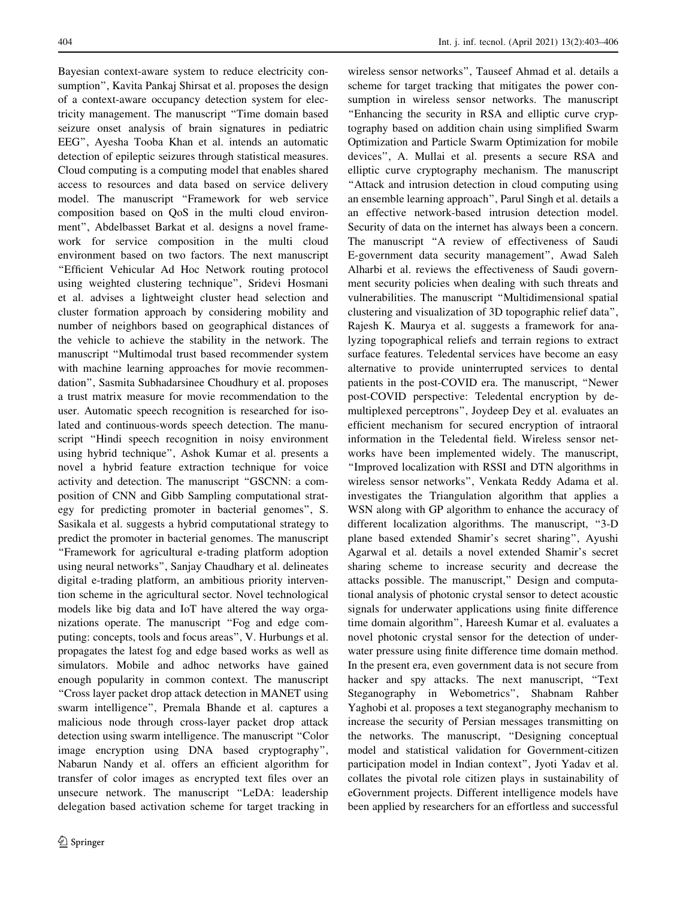Bayesian context-aware system to reduce electricity consumption'', Kavita Pankaj Shirsat et al. proposes the design of a context-aware occupancy detection system for electricity management. The manuscript ''Time domain based seizure onset analysis of brain signatures in pediatric EEG'', Ayesha Tooba Khan et al. intends an automatic detection of epileptic seizures through statistical measures. Cloud computing is a computing model that enables shared access to resources and data based on service delivery model. The manuscript ''Framework for web service composition based on QoS in the multi cloud environment'', Abdelbasset Barkat et al. designs a novel framework for service composition in the multi cloud environment based on two factors. The next manuscript ''Efficient Vehicular Ad Hoc Network routing protocol using weighted clustering technique'', Sridevi Hosmani et al. advises a lightweight cluster head selection and cluster formation approach by considering mobility and number of neighbors based on geographical distances of the vehicle to achieve the stability in the network. The manuscript ''Multimodal trust based recommender system with machine learning approaches for movie recommendation'', Sasmita Subhadarsinee Choudhury et al. proposes a trust matrix measure for movie recommendation to the user. Automatic speech recognition is researched for isolated and continuous-words speech detection. The manuscript ''Hindi speech recognition in noisy environment using hybrid technique'', Ashok Kumar et al. presents a novel a hybrid feature extraction technique for voice activity and detection. The manuscript ''GSCNN: a composition of CNN and Gibb Sampling computational strategy for predicting promoter in bacterial genomes'', S. Sasikala et al. suggests a hybrid computational strategy to predict the promoter in bacterial genomes. The manuscript ''Framework for agricultural e-trading platform adoption using neural networks'', Sanjay Chaudhary et al. delineates digital e-trading platform, an ambitious priority intervention scheme in the agricultural sector. Novel technological models like big data and IoT have altered the way organizations operate. The manuscript ''Fog and edge computing: concepts, tools and focus areas'', V. Hurbungs et al. propagates the latest fog and edge based works as well as simulators. Mobile and adhoc networks have gained enough popularity in common context. The manuscript ''Cross layer packet drop attack detection in MANET using swarm intelligence'', Premala Bhande et al. captures a malicious node through cross-layer packet drop attack detection using swarm intelligence. The manuscript ''Color image encryption using DNA based cryptography'', Nabarun Nandy et al. offers an efficient algorithm for transfer of color images as encrypted text files over an unsecure network. The manuscript ''LeDA: leadership delegation based activation scheme for target tracking in

wireless sensor networks'', Tauseef Ahmad et al. details a scheme for target tracking that mitigates the power consumption in wireless sensor networks. The manuscript ''Enhancing the security in RSA and elliptic curve cryptography based on addition chain using simplified Swarm Optimization and Particle Swarm Optimization for mobile devices'', A. Mullai et al. presents a secure RSA and elliptic curve cryptography mechanism. The manuscript ''Attack and intrusion detection in cloud computing using an ensemble learning approach'', Parul Singh et al. details a an effective network-based intrusion detection model. Security of data on the internet has always been a concern. The manuscript "A review of effectiveness of Saudi E-government data security management'', Awad Saleh Alharbi et al. reviews the effectiveness of Saudi government security policies when dealing with such threats and vulnerabilities. The manuscript ''Multidimensional spatial clustering and visualization of 3D topographic relief data'', Rajesh K. Maurya et al. suggests a framework for analyzing topographical reliefs and terrain regions to extract surface features. Teledental services have become an easy alternative to provide uninterrupted services to dental patients in the post-COVID era. The manuscript, ''Newer post-COVID perspective: Teledental encryption by demultiplexed perceptrons'', Joydeep Dey et al. evaluates an efficient mechanism for secured encryption of intraoral information in the Teledental field. Wireless sensor networks have been implemented widely. The manuscript, ''Improved localization with RSSI and DTN algorithms in wireless sensor networks'', Venkata Reddy Adama et al. investigates the Triangulation algorithm that applies a WSN along with GP algorithm to enhance the accuracy of different localization algorithms. The manuscript, ''3-D plane based extended Shamir's secret sharing'', Ayushi Agarwal et al. details a novel extended Shamir's secret sharing scheme to increase security and decrease the attacks possible. The manuscript,'' Design and computational analysis of photonic crystal sensor to detect acoustic signals for underwater applications using finite difference time domain algorithm'', Hareesh Kumar et al. evaluates a novel photonic crystal sensor for the detection of underwater pressure using finite difference time domain method. In the present era, even government data is not secure from hacker and spy attacks. The next manuscript, "Text" Steganography in Webometrics'', Shabnam Rahber Yaghobi et al. proposes a text steganography mechanism to increase the security of Persian messages transmitting on the networks. The manuscript, ''Designing conceptual model and statistical validation for Government-citizen participation model in Indian context'', Jyoti Yadav et al. collates the pivotal role citizen plays in sustainability of eGovernment projects. Different intelligence models have been applied by researchers for an effortless and successful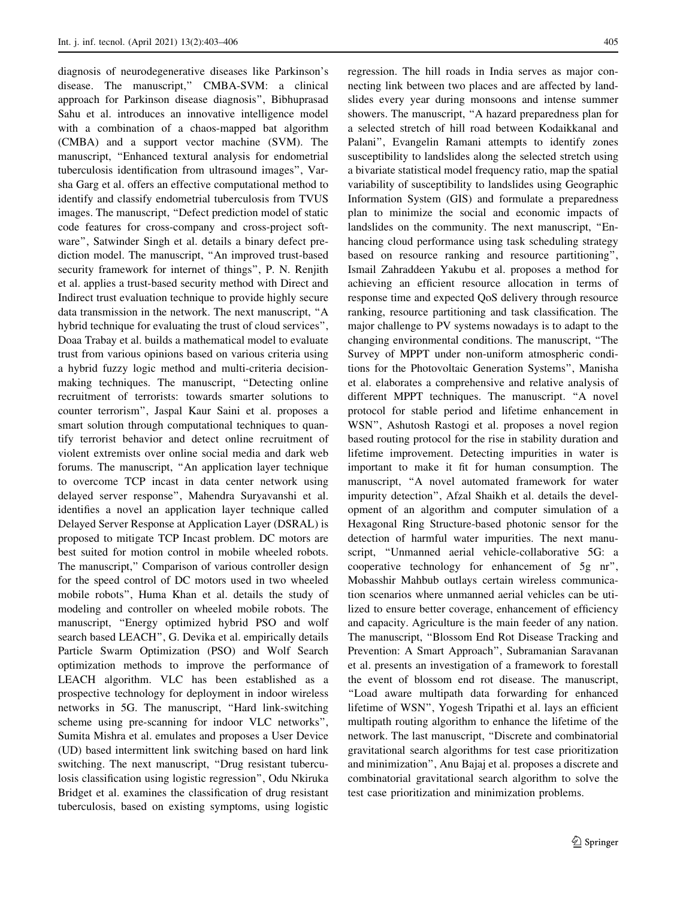diagnosis of neurodegenerative diseases like Parkinson's disease. The manuscript,'' CMBA-SVM: a clinical approach for Parkinson disease diagnosis'', Bibhuprasad Sahu et al. introduces an innovative intelligence model with a combination of a chaos-mapped bat algorithm (CMBA) and a support vector machine (SVM). The manuscript, ''Enhanced textural analysis for endometrial tuberculosis identification from ultrasound images'', Varsha Garg et al. offers an effective computational method to identify and classify endometrial tuberculosis from TVUS images. The manuscript, ''Defect prediction model of static code features for cross-company and cross-project software'', Satwinder Singh et al. details a binary defect prediction model. The manuscript, ''An improved trust-based security framework for internet of things'', P. N. Renjith et al. applies a trust-based security method with Direct and Indirect trust evaluation technique to provide highly secure data transmission in the network. The next manuscript, ''A hybrid technique for evaluating the trust of cloud services'', Doaa Trabay et al. builds a mathematical model to evaluate trust from various opinions based on various criteria using a hybrid fuzzy logic method and multi-criteria decisionmaking techniques. The manuscript, ''Detecting online recruitment of terrorists: towards smarter solutions to counter terrorism'', Jaspal Kaur Saini et al. proposes a smart solution through computational techniques to quantify terrorist behavior and detect online recruitment of violent extremists over online social media and dark web forums. The manuscript, ''An application layer technique to overcome TCP incast in data center network using delayed server response'', Mahendra Suryavanshi et al. identifies a novel an application layer technique called Delayed Server Response at Application Layer (DSRAL) is proposed to mitigate TCP Incast problem. DC motors are best suited for motion control in mobile wheeled robots. The manuscript," Comparison of various controller design for the speed control of DC motors used in two wheeled mobile robots'', Huma Khan et al. details the study of modeling and controller on wheeled mobile robots. The manuscript, "Energy optimized hybrid PSO and wolf search based LEACH'', G. Devika et al. empirically details Particle Swarm Optimization (PSO) and Wolf Search optimization methods to improve the performance of LEACH algorithm. VLC has been established as a prospective technology for deployment in indoor wireless networks in 5G. The manuscript, ''Hard link-switching scheme using pre-scanning for indoor VLC networks'', Sumita Mishra et al. emulates and proposes a User Device (UD) based intermittent link switching based on hard link switching. The next manuscript, ''Drug resistant tuberculosis classification using logistic regression'', Odu Nkiruka Bridget et al. examines the classification of drug resistant tuberculosis, based on existing symptoms, using logistic

regression. The hill roads in India serves as major connecting link between two places and are affected by landslides every year during monsoons and intense summer showers. The manuscript, ''A hazard preparedness plan for a selected stretch of hill road between Kodaikkanal and Palani'', Evangelin Ramani attempts to identify zones susceptibility to landslides along the selected stretch using a bivariate statistical model frequency ratio, map the spatial variability of susceptibility to landslides using Geographic Information System (GIS) and formulate a preparedness plan to minimize the social and economic impacts of landslides on the community. The next manuscript, ''Enhancing cloud performance using task scheduling strategy based on resource ranking and resource partitioning'', Ismail Zahraddeen Yakubu et al. proposes a method for achieving an efficient resource allocation in terms of response time and expected QoS delivery through resource ranking, resource partitioning and task classification. The major challenge to PV systems nowadays is to adapt to the changing environmental conditions. The manuscript, ''The Survey of MPPT under non-uniform atmospheric conditions for the Photovoltaic Generation Systems'', Manisha et al. elaborates a comprehensive and relative analysis of different MPPT techniques. The manuscript. ''A novel protocol for stable period and lifetime enhancement in WSN'', Ashutosh Rastogi et al. proposes a novel region based routing protocol for the rise in stability duration and lifetime improvement. Detecting impurities in water is important to make it fit for human consumption. The manuscript, ''A novel automated framework for water impurity detection'', Afzal Shaikh et al. details the development of an algorithm and computer simulation of a Hexagonal Ring Structure-based photonic sensor for the detection of harmful water impurities. The next manuscript, ''Unmanned aerial vehicle-collaborative 5G: a cooperative technology for enhancement of 5g nr'', Mobasshir Mahbub outlays certain wireless communication scenarios where unmanned aerial vehicles can be utilized to ensure better coverage, enhancement of efficiency and capacity. Agriculture is the main feeder of any nation. The manuscript, ''Blossom End Rot Disease Tracking and Prevention: A Smart Approach'', Subramanian Saravanan et al. presents an investigation of a framework to forestall the event of blossom end rot disease. The manuscript, ''Load aware multipath data forwarding for enhanced lifetime of WSN'', Yogesh Tripathi et al. lays an efficient multipath routing algorithm to enhance the lifetime of the network. The last manuscript, ''Discrete and combinatorial gravitational search algorithms for test case prioritization and minimization'', Anu Bajaj et al. proposes a discrete and combinatorial gravitational search algorithm to solve the test case prioritization and minimization problems.